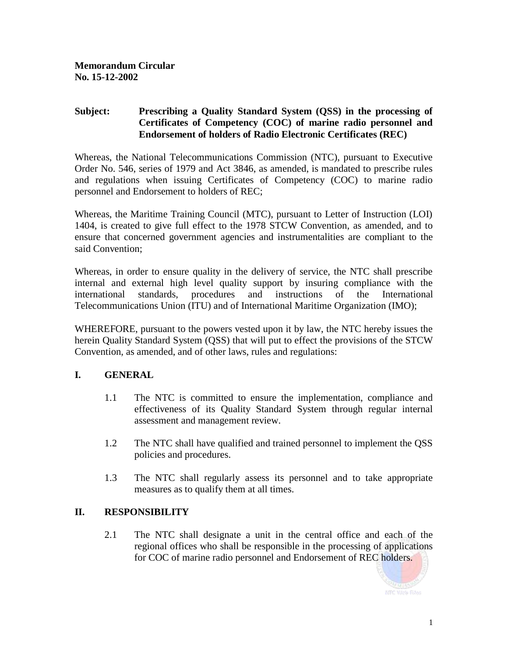## **Subject: Prescribing a Quality Standard System (QSS) in the processing of Certificates of Competency (COC) of marine radio personnel and Endorsement of holders of Radio Electronic Certificates (REC)**

Whereas, the National Telecommunications Commission (NTC), pursuant to Executive Order No. 546, series of 1979 and Act 3846, as amended, is mandated to prescribe rules and regulations when issuing Certificates of Competency (COC) to marine radio personnel and Endorsement to holders of REC;

Whereas, the Maritime Training Council (MTC), pursuant to Letter of Instruction (LOI) 1404, is created to give full effect to the 1978 STCW Convention, as amended, and to ensure that concerned government agencies and instrumentalities are compliant to the said Convention;

Whereas, in order to ensure quality in the delivery of service, the NTC shall prescribe internal and external high level quality support by insuring compliance with the international standards, procedures and instructions of the International Telecommunications Union (ITU) and of International Maritime Organization (IMO);

WHEREFORE, pursuant to the powers vested upon it by law, the NTC hereby issues the herein Quality Standard System (QSS) that will put to effect the provisions of the STCW Convention, as amended, and of other laws, rules and regulations:

## **I. GENERAL**

- 1.1 The NTC is committed to ensure the implementation, compliance and effectiveness of its Quality Standard System through regular internal assessment and management review.
- 1.2 The NTC shall have qualified and trained personnel to implement the QSS policies and procedures.
- 1.3 The NTC shall regularly assess its personnel and to take appropriate measures as to qualify them at all times.

## **II. RESPONSIBILITY**

2.1 The NTC shall designate a unit in the central office and each of the regional offices who shall be responsible in the processing of applications for COC of marine radio personnel and Endorsement of REC holders.

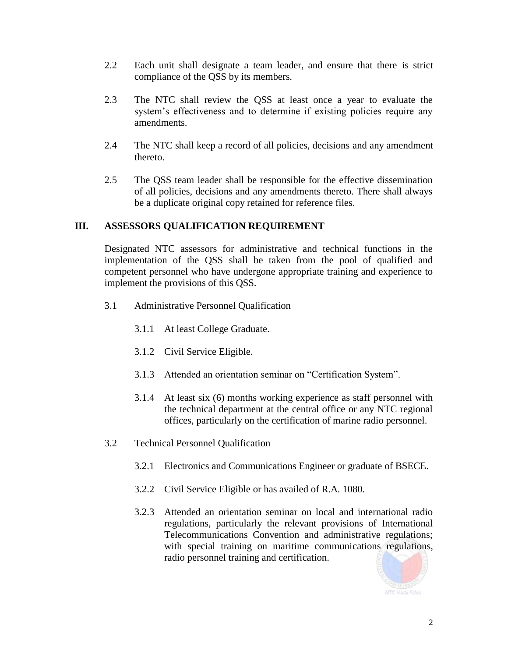- 2.2 Each unit shall designate a team leader, and ensure that there is strict compliance of the QSS by its members.
- 2.3 The NTC shall review the QSS at least once a year to evaluate the system's effectiveness and to determine if existing policies require any amendments.
- 2.4 The NTC shall keep a record of all policies, decisions and any amendment thereto.
- 2.5 The QSS team leader shall be responsible for the effective dissemination of all policies, decisions and any amendments thereto. There shall always be a duplicate original copy retained for reference files.

## **III. ASSESSORS QUALIFICATION REQUIREMENT**

Designated NTC assessors for administrative and technical functions in the implementation of the QSS shall be taken from the pool of qualified and competent personnel who have undergone appropriate training and experience to implement the provisions of this QSS.

- 3.1 Administrative Personnel Qualification
	- 3.1.1 At least College Graduate.
	- 3.1.2 Civil Service Eligible.
	- 3.1.3 Attended an orientation seminar on "Certification System".
	- 3.1.4 At least six (6) months working experience as staff personnel with the technical department at the central office or any NTC regional offices, particularly on the certification of marine radio personnel.
- 3.2 Technical Personnel Qualification
	- 3.2.1 Electronics and Communications Engineer or graduate of BSECE.
	- 3.2.2 Civil Service Eligible or has availed of R.A. 1080.
	- 3.2.3 Attended an orientation seminar on local and international radio regulations, particularly the relevant provisions of International Telecommunications Convention and administrative regulations; with special training on maritime communications regulations, radio personnel training and certification.

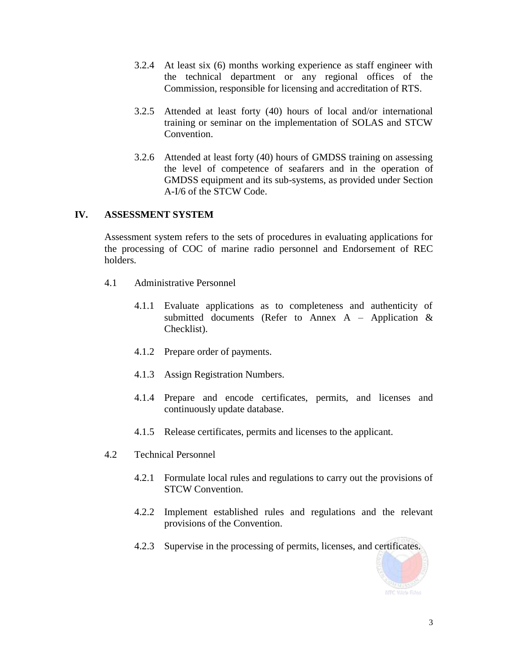- 3.2.4 At least six (6) months working experience as staff engineer with the technical department or any regional offices of the Commission, responsible for licensing and accreditation of RTS.
- 3.2.5 Attended at least forty (40) hours of local and/or international training or seminar on the implementation of SOLAS and STCW Convention.
- 3.2.6 Attended at least forty (40) hours of GMDSS training on assessing the level of competence of seafarers and in the operation of GMDSS equipment and its sub-systems, as provided under Section A-I/6 of the STCW Code.

## **IV. ASSESSMENT SYSTEM**

Assessment system refers to the sets of procedures in evaluating applications for the processing of COC of marine radio personnel and Endorsement of REC holders.

- 4.1 Administrative Personnel
	- 4.1.1 Evaluate applications as to completeness and authenticity of submitted documents (Refer to Annex A – Application & Checklist).
	- 4.1.2 Prepare order of payments.
	- 4.1.3 Assign Registration Numbers.
	- 4.1.4 Prepare and encode certificates, permits, and licenses and continuously update database.
	- 4.1.5 Release certificates, permits and licenses to the applicant.
- 4.2 Technical Personnel
	- 4.2.1 Formulate local rules and regulations to carry out the provisions of STCW Convention.
	- 4.2.2 Implement established rules and regulations and the relevant provisions of the Convention.
	- 4.2.3 Supervise in the processing of permits, licenses, and certificates.

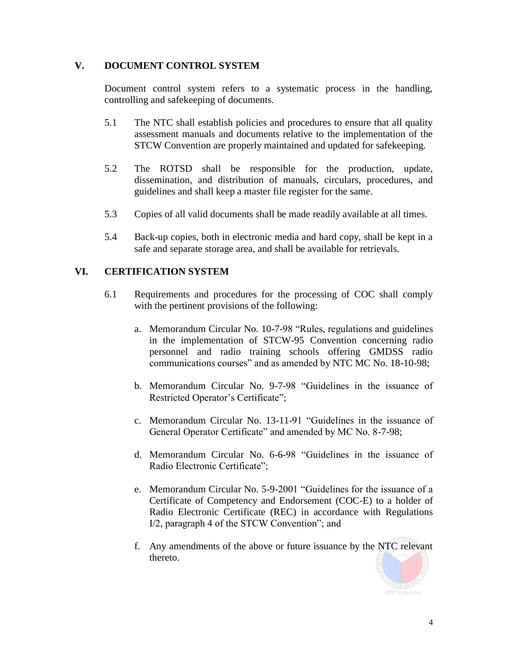## **V. DOCUMENT CONTROL SYSTEM**

Document control system refers to a systematic process in the handling, controlling and safekeeping of documents.

- 5.1 The NTC shall establish policies and procedures to ensure that all quality assessment manuals and documents relative to the implementation of the STCW Convention are properly maintained and updated for safekeeping.
- 5.2 The ROTSD shall be responsible for the production, update, dissemination, and distribution of manuals, circulars, procedures, and guidelines and shall keep a master file register for the same.
- 5.3 Copies of all valid documents shall be made readily available at all times.
- 5.4 Back-up copies, both in electronic media and hard copy, shall be kept in a safe and separate storage area, and shall be available for retrievals.

## **VI. CERTIFICATION SYSTEM**

- 6.1 Requirements and procedures for the processing of COC shall comply with the pertinent provisions of the following:
	- a. Memorandum Circular No. 10-7-98 "Rules, regulations and guidelines in the implementation of STCW-95 Convention concerning radio personnel and radio training schools offering GMDSS radio communications courses" and as amended by NTC MC No. 18-10-98;
	- b. Memorandum Circular No. 9-7-98 "Guidelines in the issuance of Restricted Operator's Certificate";
	- c. Memorandum Circular No. 13-11-91 "Guidelines in the issuance of General Operator Certificate" and amended by MC No. 8-7-98;
	- d. Memorandum Circular No. 6-6-98 "Guidelines in the issuance of Radio Electronic Certificate";
	- e. Memorandum Circular No. 5-9-2001 "Guidelines for the issuance of a Certificate of Competency and Endorsement (COC-E) to a holder of Radio Electronic Certificate (REC) in accordance with Regulations I/2, paragraph 4 of the STCW Convention"; and
	- f. Any amendments of the above or future issuance by the NTC relevant thereto.

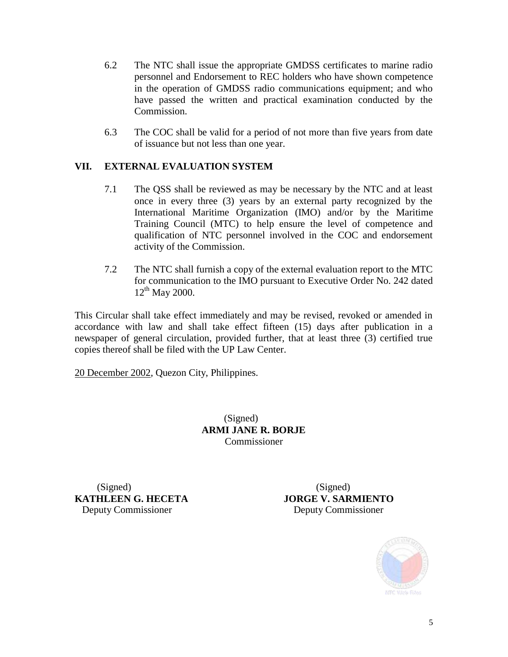- 6.2 The NTC shall issue the appropriate GMDSS certificates to marine radio personnel and Endorsement to REC holders who have shown competence in the operation of GMDSS radio communications equipment; and who have passed the written and practical examination conducted by the Commission.
- 6.3 The COC shall be valid for a period of not more than five years from date of issuance but not less than one year.

# **VII. EXTERNAL EVALUATION SYSTEM**

- 7.1 The QSS shall be reviewed as may be necessary by the NTC and at least once in every three (3) years by an external party recognized by the International Maritime Organization (IMO) and/or by the Maritime Training Council (MTC) to help ensure the level of competence and qualification of NTC personnel involved in the COC and endorsement activity of the Commission.
- 7.2 The NTC shall furnish a copy of the external evaluation report to the MTC for communication to the IMO pursuant to Executive Order No. 242 dated  $12^{th}$  May 2000.

This Circular shall take effect immediately and may be revised, revoked or amended in accordance with law and shall take effect fifteen (15) days after publication in a newspaper of general circulation, provided further, that at least three (3) certified true copies thereof shall be filed with the UP Law Center.

20 December 2002, Quezon City, Philippines.

(Signed) **ARMI JANE R. BORJE** Commissioner

(Signed) (Signed) **KATHLEEN G. HECETA JORGE V. SARMIENTO** Deputy Commissioner Deputy Commissioner